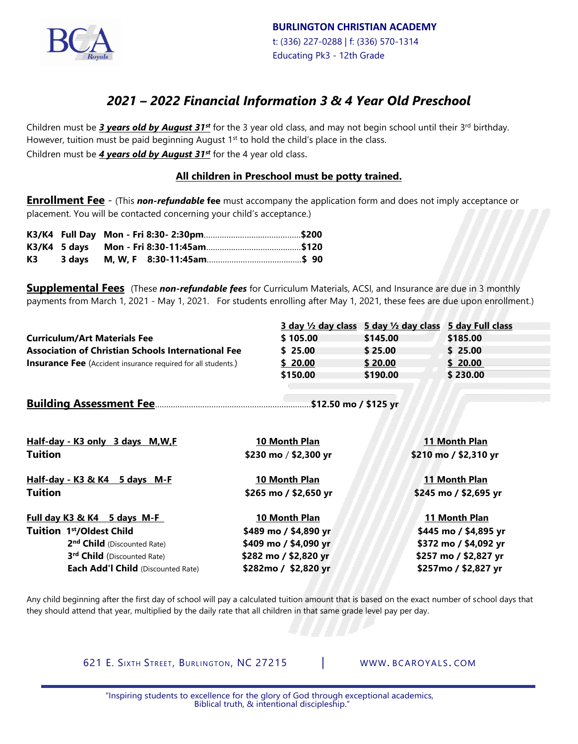

## *2021 – 2022 Financial Information 3 & 4 Year Old Preschool*

Children must be **3 years old by August 31<sup>st</sup>** for the 3 year old class, and may not begin school until their 3<sup>rd</sup> birthday. However, tuition must be paid beginning August  $1<sup>st</sup>$  to hold the child's place in the class. Children must be *4 years old by August 31st* for the 4 year old class.

#### **All children in Preschool must be potty trained.**

**Enrollment Fee** - (This *non-refundable* **fee** must accompany the application form and does not imply acceptance or placement. You will be contacted concerning your child's acceptance.)

| K3 |  |  |  |
|----|--|--|--|

**Supplemental Fees** (These *non-refundable fees* for Curriculum Materials, ACSI, and Insurance are due in 3 monthly payments from March 1, 2021 - May 1, 2021. For students enrolling after May 1, 2021, these fees are due upon enrollment.)

|                                                                      |                       | 3 day 1/2 day class 5 day 1/2 day class | 5 day Full class      |  |
|----------------------------------------------------------------------|-----------------------|-----------------------------------------|-----------------------|--|
| <b>Curriculum/Art Materials Fee</b>                                  | \$105.00              | \$145.00                                | \$185.00              |  |
| <b>Association of Christian Schools International Fee</b>            | \$25.00               | \$25.00                                 | \$25.00               |  |
| <b>Insurance Fee</b> (Accident insurance required for all students.) | \$20.00               | \$20.00                                 | \$20.00               |  |
|                                                                      | \$150.00              | \$190.00                                | \$230.00              |  |
|                                                                      |                       |                                         |                       |  |
|                                                                      | \$12.50 mo / \$125 yr |                                         |                       |  |
|                                                                      |                       |                                         |                       |  |
|                                                                      |                       |                                         |                       |  |
| Half-day - K3 only 3 days M, W, F                                    | 10 Month Plan         | 11 Month Plan                           |                       |  |
| <b>Tuition</b>                                                       | \$230 mo / \$2,300 yr | \$210 mo / \$2,310 yr                   |                       |  |
|                                                                      |                       |                                         |                       |  |
| Half-day - K3 & K4 5 days M-F                                        | 10 Month Plan         | 11 Month Plan                           |                       |  |
| <b>Tuition</b>                                                       | \$265 mo / \$2,650 yr |                                         | \$245 mo / \$2,695 yr |  |
|                                                                      |                       |                                         |                       |  |
| Full day K3 & K4 5 days M-F                                          | 10 Month Plan         | 11 Month Plan                           |                       |  |
| Tuition 1st/Oldest Child                                             | \$489 mo / \$4,890 yr |                                         | \$445 mo / \$4,895 yr |  |
| 2 <sup>nd</sup> Child (Discounted Rate)                              | \$409 mo / \$4,090 yr |                                         | \$372 mo / \$4,092 yr |  |
| 3rd Child (Discounted Rate)                                          | \$282 mo / \$2,820 yr |                                         | \$257 mo / \$2,827 yr |  |
| Each Add'l Child (Discounted Rate)                                   | \$282mo / \$2,820 yr  |                                         | \$257mo / \$2,827 yr  |  |
|                                                                      |                       |                                         |                       |  |

Any child beginning after the first day of school will pay a calculated tuition amount that is based on the exact number of school days that they should attend that year, multiplied by the daily rate that all children in that same grade level pay per day.

621 E. SIXTH STREET, BURLINGTON, NC 27215 | [WWW](http://www/). BCAROYALS. COM